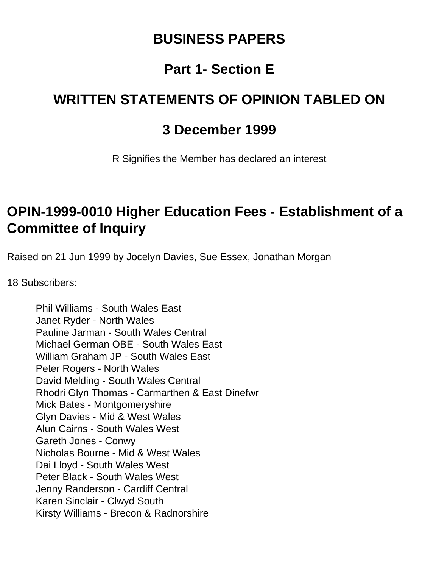### **BUSINESS PAPERS**

## **Part 1- Section E**

## **WRITTEN STATEMENTS OF OPINION TABLED ON**

#### **3 December 1999**

R Signifies the Member has declared an interest

### **OPIN-1999-0010 Higher Education Fees - Establishment of a Committee of Inquiry**

Raised on 21 Jun 1999 by Jocelyn Davies, Sue Essex, Jonathan Morgan

18 Subscribers:

Phil Williams - South Wales East Janet Ryder - North Wales Pauline Jarman - South Wales Central Michael German OBE - South Wales East William Graham JP - South Wales East Peter Rogers - North Wales David Melding - South Wales Central Rhodri Glyn Thomas - Carmarthen & East Dinefwr Mick Bates - Montgomeryshire Glyn Davies - Mid & West Wales Alun Cairns - South Wales West Gareth Jones - Conwy Nicholas Bourne - Mid & West Wales Dai Lloyd - South Wales West Peter Black - South Wales West Jenny Randerson - Cardiff Central Karen Sinclair - Clwyd South Kirsty Williams - Brecon & Radnorshire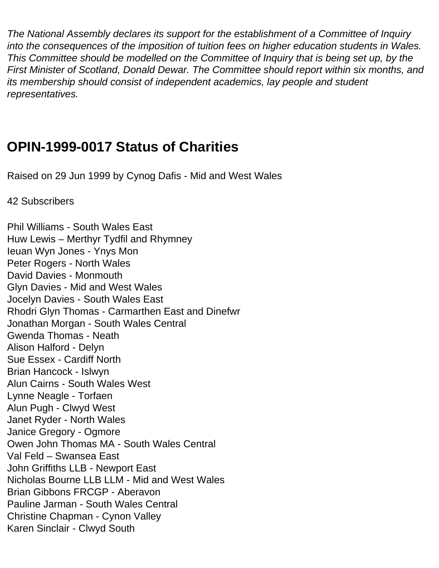*The National Assembly declares its support for the establishment of a Committee of Inquiry into the consequences of the imposition of tuition fees on higher education students in Wales. This Committee should be modelled on the Committee of Inquiry that is being set up, by the First Minister of Scotland, Donald Dewar. The Committee should report within six months, and its membership should consist of independent academics, lay people and student representatives.*

### **OPIN-1999-0017 Status of Charities**

Raised on 29 Jun 1999 by Cynog Dafis - Mid and West Wales

42 Subscribers

Phil Williams - South Wales East Huw Lewis – Merthyr Tydfil and Rhymney Ieuan Wyn Jones - Ynys Mon Peter Rogers - North Wales David Davies - Monmouth Glyn Davies - Mid and West Wales Jocelyn Davies - South Wales East Rhodri Glyn Thomas - Carmarthen East and Dinefwr Jonathan Morgan - South Wales Central Gwenda Thomas - Neath Alison Halford - Delyn Sue Essex - Cardiff North Brian Hancock - Islwyn Alun Cairns - South Wales West Lynne Neagle - Torfaen Alun Pugh - Clwyd West Janet Ryder - North Wales Janice Gregory - Ogmore Owen John Thomas MA - South Wales Central Val Feld – Swansea East John Griffiths LLB - Newport East Nicholas Bourne LLB LLM - Mid and West Wales Brian Gibbons FRCGP - Aberavon Pauline Jarman - South Wales Central Christine Chapman - Cynon Valley Karen Sinclair - Clwyd South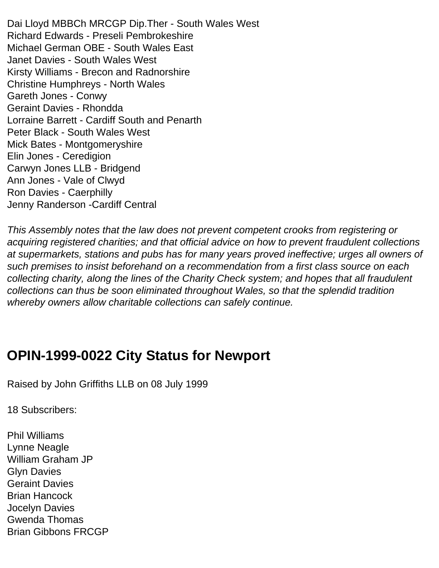Dai Lloyd MBBCh MRCGP Dip.Ther - South Wales West Richard Edwards - Preseli Pembrokeshire Michael German OBE - South Wales East Janet Davies - South Wales West Kirsty Williams - Brecon and Radnorshire Christine Humphreys - North Wales Gareth Jones - Conwy Geraint Davies - Rhondda Lorraine Barrett - Cardiff South and Penarth Peter Black - South Wales West Mick Bates - Montgomeryshire Elin Jones - Ceredigion Carwyn Jones LLB - Bridgend Ann Jones - Vale of Clwyd Ron Davies - Caerphilly Jenny Randerson -Cardiff Central

*This Assembly notes that the law does not prevent competent crooks from registering or acquiring registered charities; and that official advice on how to prevent fraudulent collections at supermarkets, stations and pubs has for many years proved ineffective; urges all owners of such premises to insist beforehand on a recommendation from a first class source on each collecting charity, along the lines of the Charity Check system; and hopes that all fraudulent collections can thus be soon eliminated throughout Wales, so that the splendid tradition whereby owners allow charitable collections can safely continue.*

### **OPIN-1999-0022 City Status for Newport**

Raised by John Griffiths LLB on 08 July 1999

18 Subscribers:

Phil Williams Lynne Neagle William Graham JP Glyn Davies Geraint Davies Brian Hancock Jocelyn Davies Gwenda Thomas Brian Gibbons FRCGP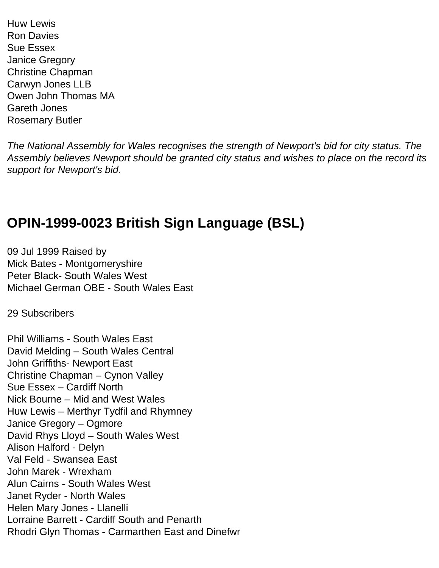Huw Lewis Ron Davies Sue Essex Janice Gregory Christine Chapman Carwyn Jones LLB Owen John Thomas MA Gareth Jones Rosemary Butler

*The National Assembly for Wales recognises the strength of Newport's bid for city status. The Assembly believes Newport should be granted city status and wishes to place on the record its support for Newport's bid.*

### **OPIN-1999-0023 British Sign Language (BSL)**

09 Jul 1999 Raised by Mick Bates - Montgomeryshire Peter Black- South Wales West Michael German OBE - South Wales East

29 Subscribers

Phil Williams - South Wales East David Melding – South Wales Central John Griffiths- Newport East Christine Chapman – Cynon Valley Sue Essex – Cardiff North Nick Bourne – Mid and West Wales Huw Lewis – Merthyr Tydfil and Rhymney Janice Gregory – Ogmore David Rhys Lloyd – South Wales West Alison Halford - Delyn Val Feld - Swansea East John Marek - Wrexham Alun Cairns - South Wales West Janet Ryder - North Wales Helen Mary Jones - Llanelli Lorraine Barrett - Cardiff South and Penarth Rhodri Glyn Thomas - Carmarthen East and Dinefwr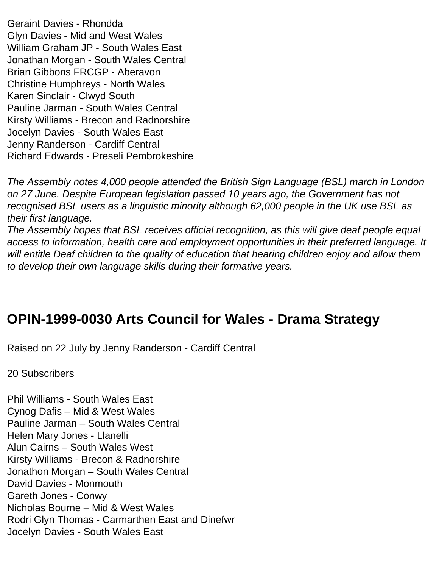Geraint Davies - Rhondda Glyn Davies - Mid and West Wales William Graham JP - South Wales East Jonathan Morgan - South Wales Central Brian Gibbons FRCGP - Aberavon Christine Humphreys - North Wales Karen Sinclair - Clwyd South Pauline Jarman - South Wales Central Kirsty Williams - Brecon and Radnorshire Jocelyn Davies - South Wales East Jenny Randerson - Cardiff Central Richard Edwards - Preseli Pembrokeshire

*The Assembly notes 4,000 people attended the British Sign Language (BSL) march in London on 27 June. Despite European legislation passed 10 years ago, the Government has not recognised BSL users as a linguistic minority although 62,000 people in the UK use BSL as their first language.*

*The Assembly hopes that BSL receives official recognition, as this will give deaf people equal access to information, health care and employment opportunities in their preferred language. It will entitle Deaf children to the quality of education that hearing children enjoy and allow them to develop their own language skills during their formative years.*

## **OPIN-1999-0030 Arts Council for Wales - Drama Strategy**

Raised on 22 July by Jenny Randerson - Cardiff Central

20 Subscribers

Phil Williams - South Wales East Cynog Dafis – Mid & West Wales Pauline Jarman – South Wales Central Helen Mary Jones - Llanelli Alun Cairns – South Wales West Kirsty Williams - Brecon & Radnorshire Jonathon Morgan – South Wales Central David Davies - Monmouth Gareth Jones - Conwy Nicholas Bourne – Mid & West Wales Rodri Glyn Thomas - Carmarthen East and Dinefwr Jocelyn Davies - South Wales East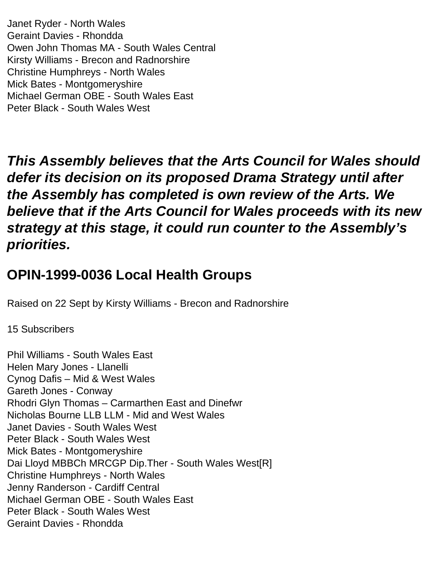Janet Ryder - North Wales Geraint Davies - Rhondda Owen John Thomas MA - South Wales Central Kirsty Williams - Brecon and Radnorshire Christine Humphreys - North Wales Mick Bates - Montgomeryshire Michael German OBE - South Wales East Peter Black - South Wales West

*This Assembly believes that the Arts Council for Wales should defer its decision on its proposed Drama Strategy until after the Assembly has completed is own review of the Arts. We believe that if the Arts Council for Wales proceeds with its new strategy at this stage, it could run counter to the Assembly's priorities.*

## **OPIN-1999-0036 Local Health Groups**

Raised on 22 Sept by Kirsty Williams - Brecon and Radnorshire

15 Subscribers

Phil Williams - South Wales East Helen Mary Jones - Llanelli Cynog Dafis – Mid & West Wales Gareth Jones - Conway Rhodri Glyn Thomas – Carmarthen East and Dinefwr Nicholas Bourne LLB LLM - Mid and West Wales Janet Davies - South Wales West Peter Black - South Wales West Mick Bates - Montgomeryshire Dai Lloyd MBBCh MRCGP Dip.Ther - South Wales West[R] Christine Humphreys - North Wales Jenny Randerson - Cardiff Central Michael German OBE - South Wales East Peter Black - South Wales West Geraint Davies - Rhondda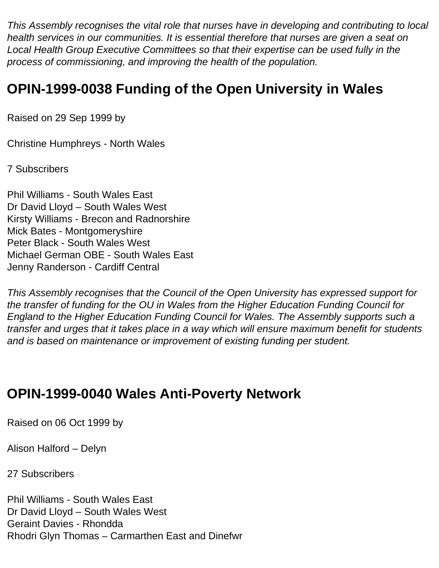*This Assembly recognises the vital role that nurses have in developing and contributing to local health services in our communities. It is essential therefore that nurses are given a seat on Local Health Group Executive Committees so that their expertise can be used fully in the process of commissioning, and improving the health of the population.*

## **OPIN-1999-0038 Funding of the Open University in Wales**

Raised on 29 Sep 1999 by

Christine Humphreys - North Wales

7 Subscribers

Phil Williams - South Wales East Dr David Lloyd – South Wales West Kirsty Williams - Brecon and Radnorshire Mick Bates - Montgomeryshire Peter Black - South Wales West Michael German OBE - South Wales East Jenny Randerson - Cardiff Central

*This Assembly recognises that the Council of the Open University has expressed support for the transfer of funding for the OU in Wales from the Higher Education Funding Council for England to the Higher Education Funding Council for Wales. The Assembly supports such a transfer and urges that it takes place in a way which will ensure maximum benefit for students and is based on maintenance or improvement of existing funding per student.* 

### **OPIN-1999-0040 Wales Anti-Poverty Network**

Raised on 06 Oct 1999 by

Alison Halford – Delyn

27 Subscribers

Phil Williams - South Wales East Dr David Lloyd – South Wales West Geraint Davies - Rhondda Rhodri Glyn Thomas – Carmarthen East and Dinefwr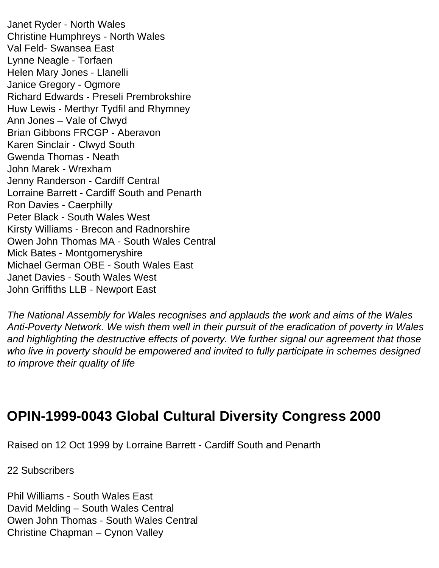Janet Ryder - North Wales Christine Humphreys - North Wales Val Feld- Swansea East Lynne Neagle - Torfaen Helen Mary Jones - Llanelli Janice Gregory - Ogmore Richard Edwards - Preseli Prembrokshire Huw Lewis - Merthyr Tydfil and Rhymney Ann Jones – Vale of Clwyd Brian Gibbons FRCGP - Aberavon Karen Sinclair - Clwyd South Gwenda Thomas - Neath John Marek - Wrexham Jenny Randerson - Cardiff Central Lorraine Barrett - Cardiff South and Penarth Ron Davies - Caerphilly Peter Black - South Wales West Kirsty Williams - Brecon and Radnorshire Owen John Thomas MA - South Wales Central Mick Bates - Montgomeryshire Michael German OBE - South Wales East Janet Davies - South Wales West John Griffiths LLB - Newport East

*The National Assembly for Wales recognises and applauds the work and aims of the Wales Anti-Poverty Network. We wish them well in their pursuit of the eradication of poverty in Wales and highlighting the destructive effects of poverty. We further signal our agreement that those who live in poverty should be empowered and invited to fully participate in schemes designed to improve their quality of life*

## **OPIN-1999-0043 Global Cultural Diversity Congress 2000**

Raised on 12 Oct 1999 by Lorraine Barrett - Cardiff South and Penarth

22 Subscribers

Phil Williams - South Wales East David Melding – South Wales Central Owen John Thomas - South Wales Central Christine Chapman – Cynon Valley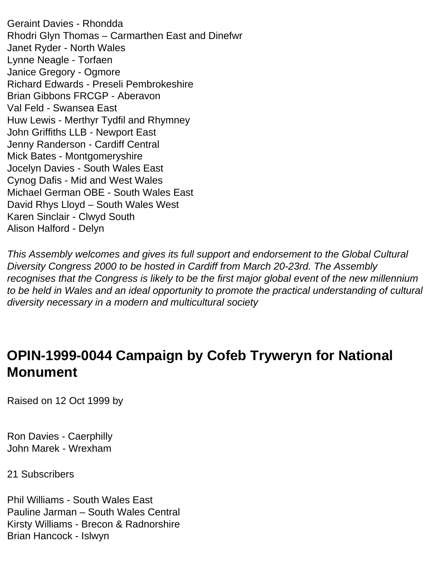Geraint Davies - Rhondda Rhodri Glyn Thomas – Carmarthen East and Dinefwr Janet Ryder - North Wales Lynne Neagle - Torfaen Janice Gregory - Ogmore Richard Edwards - Preseli Pembrokeshire Brian Gibbons FRCGP - Aberavon Val Feld - Swansea East Huw Lewis - Merthyr Tydfil and Rhymney John Griffiths LLB - Newport East Jenny Randerson - Cardiff Central Mick Bates - Montgomeryshire Jocelyn Davies - South Wales East Cynog Dafis - Mid and West Wales Michael German OBE - South Wales East David Rhys Lloyd – South Wales West Karen Sinclair - Clwyd South Alison Halford - Delyn

*This Assembly welcomes and gives its full support and endorsement to the Global Cultural Diversity Congress 2000 to be hosted in Cardiff from March 20-23rd. The Assembly recognises that the Congress is likely to be the first major global event of the new millennium to be held in Wales and an ideal opportunity to promote the practical understanding of cultural diversity necessary in a modern and multicultural society*

### **OPIN-1999-0044 Campaign by Cofeb Tryweryn for National Monument**

Raised on 12 Oct 1999 by

Ron Davies - Caerphilly John Marek - Wrexham

21 Subscribers

Phil Williams - South Wales East Pauline Jarman – South Wales Central Kirsty Williams - Brecon & Radnorshire Brian Hancock - Islwyn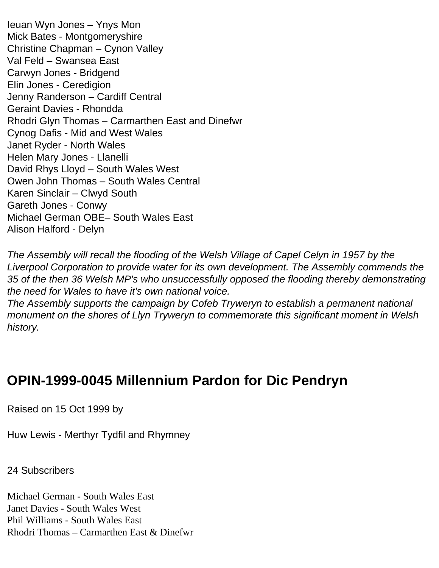Ieuan Wyn Jones – Ynys Mon Mick Bates - Montgomeryshire Christine Chapman – Cynon Valley Val Feld – Swansea East Carwyn Jones - Bridgend Elin Jones - Ceredigion Jenny Randerson – Cardiff Central Geraint Davies - Rhondda Rhodri Glyn Thomas – Carmarthen East and Dinefwr Cynog Dafis - Mid and West Wales Janet Ryder - North Wales Helen Mary Jones - Llanelli David Rhys Lloyd – South Wales West Owen John Thomas – South Wales Central Karen Sinclair – Clwyd South Gareth Jones - Conwy Michael German OBE– South Wales East Alison Halford - Delyn

*The Assembly will recall the flooding of the Welsh Village of Capel Celyn in 1957 by the Liverpool Corporation to provide water for its own development. The Assembly commends the 35 of the then 36 Welsh MP's who unsuccessfully opposed the flooding thereby demonstrating the need for Wales to have it's own national voice.*

*The Assembly supports the campaign by Cofeb Tryweryn to establish a permanent national monument on the shores of Llyn Tryweryn to commemorate this significant moment in Welsh history.*

## **OPIN-1999-0045 Millennium Pardon for Dic Pendryn**

Raised on 15 Oct 1999 by

Huw Lewis - Merthyr Tydfil and Rhymney

24 Subscribers

Michael German - South Wales East Janet Davies - South Wales West Phil Williams - South Wales East Rhodri Thomas – Carmarthen East & Dinefwr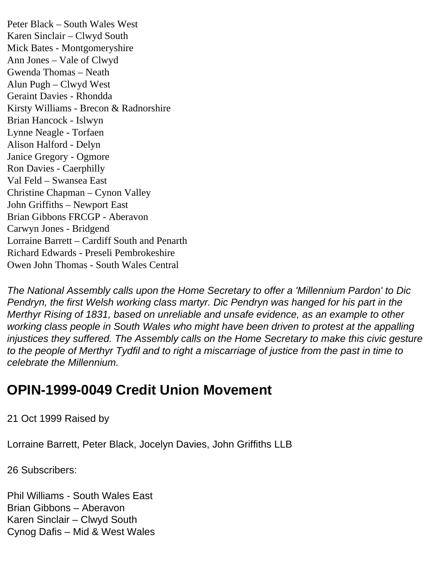Peter Black – South Wales West Karen Sinclair – Clwyd South Mick Bates - Montgomeryshire Ann Jones – Vale of Clwyd Gwenda Thomas – Neath Alun Pugh – Clwyd West Geraint Davies - Rhondda Kirsty Williams - Brecon & Radnorshire Brian Hancock - Islwyn Lynne Neagle - Torfaen Alison Halford - Delyn Janice Gregory - Ogmore Ron Davies - Caerphilly Val Feld – Swansea East Christine Chapman – Cynon Valley John Griffiths – Newport East Brian Gibbons FRCGP - Aberavon Carwyn Jones - Bridgend Lorraine Barrett – Cardiff South and Penarth Richard Edwards - Preseli Pembrokeshire Owen John Thomas - South Wales Central

*The National Assembly calls upon the Home Secretary to offer a 'Millennium Pardon' to Dic Pendryn, the first Welsh working class martyr. Dic Pendryn was hanged for his part in the Merthyr Rising of 1831, based on unreliable and unsafe evidence, as an example to other working class people in South Wales who might have been driven to protest at the appalling injustices they suffered. The Assembly calls on the Home Secretary to make this civic gesture to the people of Merthyr Tydfil and to right a miscarriage of justice from the past in time to celebrate the Millennium.*

### **OPIN-1999-0049 Credit Union Movement**

21 Oct 1999 Raised by

Lorraine Barrett, Peter Black, Jocelyn Davies, John Griffiths LLB

26 Subscribers:

Phil Williams - South Wales East Brian Gibbons – Aberavon Karen Sinclair – Clwyd South Cynog Dafis – Mid & West Wales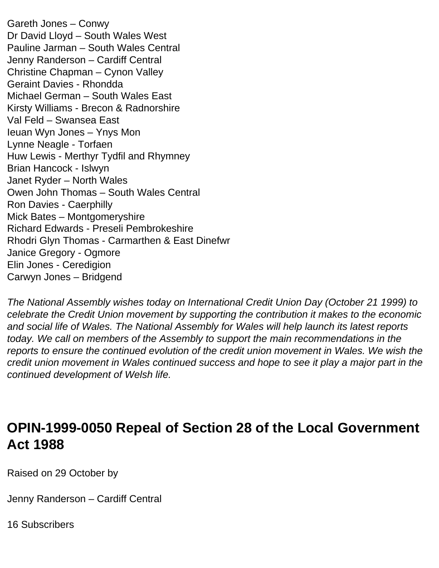Gareth Jones – Conwy Dr David Lloyd – South Wales West Pauline Jarman – South Wales Central Jenny Randerson – Cardiff Central Christine Chapman – Cynon Valley Geraint Davies - Rhondda Michael German – South Wales East Kirsty Williams - Brecon & Radnorshire Val Feld – Swansea East Ieuan Wyn Jones – Ynys Mon Lynne Neagle - Torfaen Huw Lewis - Merthyr Tydfil and Rhymney Brian Hancock - Islwyn Janet Ryder – North Wales Owen John Thomas – South Wales Central Ron Davies - Caerphilly Mick Bates – Montgomeryshire Richard Edwards - Preseli Pembrokeshire Rhodri Glyn Thomas - Carmarthen & East Dinefwr Janice Gregory - Ogmore Elin Jones - Ceredigion Carwyn Jones – Bridgend

*The National Assembly wishes today on International Credit Union Day (October 21 1999) to celebrate the Credit Union movement by supporting the contribution it makes to the economic and social life of Wales. The National Assembly for Wales will help launch its latest reports today. We call on members of the Assembly to support the main recommendations in the reports to ensure the continued evolution of the credit union movement in Wales. We wish the credit union movement in Wales continued success and hope to see it play a major part in the continued development of Welsh life.*

#### **OPIN-1999-0050 Repeal of Section 28 of the Local Government Act 1988**

Raised on 29 October by

Jenny Randerson – Cardiff Central

16 Subscribers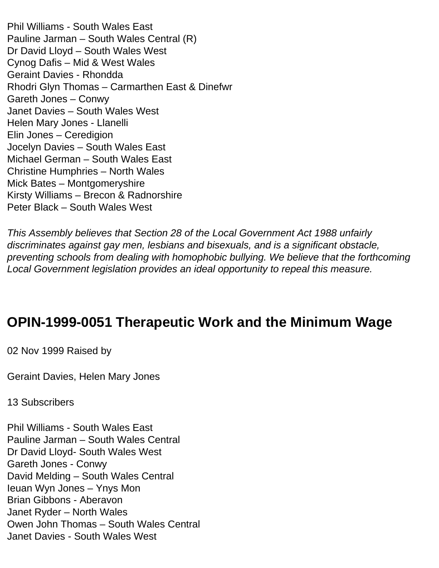Phil Williams - South Wales East Pauline Jarman – South Wales Central (R) Dr David Lloyd – South Wales West Cynog Dafis – Mid & West Wales Geraint Davies - Rhondda Rhodri Glyn Thomas – Carmarthen East & Dinefwr Gareth Jones – Conwy Janet Davies – South Wales West Helen Mary Jones - Llanelli Elin Jones – Ceredigion Jocelyn Davies – South Wales East Michael German – South Wales East Christine Humphries – North Wales Mick Bates – Montgomeryshire Kirsty Williams – Brecon & Radnorshire Peter Black – South Wales West

*This Assembly believes that Section 28 of the Local Government Act 1988 unfairly discriminates against gay men, lesbians and bisexuals, and is a significant obstacle, preventing schools from dealing with homophobic bullying. We believe that the forthcoming Local Government legislation provides an ideal opportunity to repeal this measure.*

### **OPIN-1999-0051 Therapeutic Work and the Minimum Wage**

02 Nov 1999 Raised by

Geraint Davies, Helen Mary Jones

13 Subscribers

Phil Williams - South Wales East Pauline Jarman – South Wales Central Dr David Lloyd- South Wales West Gareth Jones - Conwy David Melding – South Wales Central Ieuan Wyn Jones – Ynys Mon Brian Gibbons - Aberavon Janet Ryder – North Wales Owen John Thomas – South Wales Central Janet Davies - South Wales West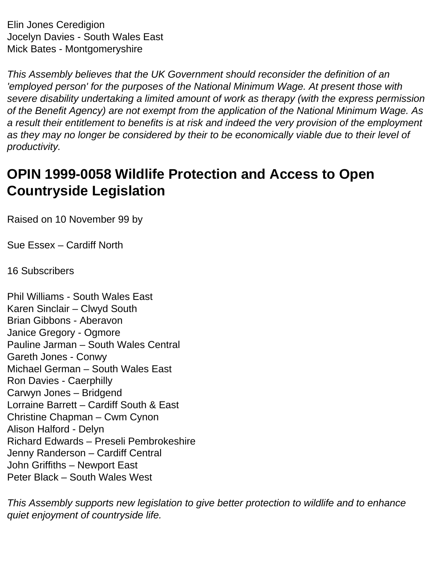Elin Jones Ceredigion Jocelyn Davies - South Wales East Mick Bates - Montgomeryshire

*This Assembly believes that the UK Government should reconsider the definition of an 'employed person' for the purposes of the National Minimum Wage. At present those with severe disability undertaking a limited amount of work as therapy (with the express permission of the Benefit Agency) are not exempt from the application of the National Minimum Wage. As a result their entitlement to benefits is at risk and indeed the very provision of the employment*  as they may no longer be considered by their to be economically viable due to their level of *productivity.* 

## **OPIN 1999-0058 Wildlife Protection and Access to Open Countryside Legislation**

Raised on 10 November 99 by

Sue Essex – Cardiff North

16 Subscribers

Phil Williams - South Wales East Karen Sinclair – Clwyd South Brian Gibbons - Aberavon Janice Gregory - Ogmore Pauline Jarman – South Wales Central Gareth Jones - Conwy Michael German – South Wales East Ron Davies - Caerphilly Carwyn Jones – Bridgend Lorraine Barrett – Cardiff South & East Christine Chapman – Cwm Cynon Alison Halford - Delyn Richard Edwards – Preseli Pembrokeshire Jenny Randerson – Cardiff Central John Griffiths – Newport East Peter Black – South Wales West

*This Assembly supports new legislation to give better protection to wildlife and to enhance quiet enjoyment of countryside life.*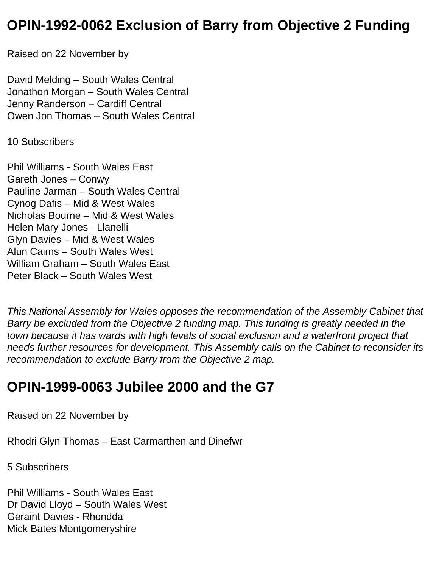### **OPIN-1992-0062 Exclusion of Barry from Objective 2 Funding**

Raised on 22 November by

David Melding – South Wales Central Jonathon Morgan – South Wales Central Jenny Randerson – Cardiff Central Owen Jon Thomas – South Wales Central

10 Subscribers

Phil Williams - South Wales East Gareth Jones – Conwy Pauline Jarman – South Wales Central Cynog Dafis – Mid & West Wales Nicholas Bourne – Mid & West Wales Helen Mary Jones - Llanelli Glyn Davies – Mid & West Wales Alun Cairns – South Wales West William Graham – South Wales East Peter Black – South Wales West

*This National Assembly for Wales opposes the recommendation of the Assembly Cabinet that Barry be excluded from the Objective 2 funding map. This funding is greatly needed in the town because it has wards with high levels of social exclusion and a waterfront project that needs further resources for development. This Assembly calls on the Cabinet to reconsider its recommendation to exclude Barry from the Objective 2 map.* 

## **OPIN-1999-0063 Jubilee 2000 and the G7**

Raised on 22 November by

Rhodri Glyn Thomas – East Carmarthen and Dinefwr

5 Subscribers

Phil Williams - South Wales East Dr David Lloyd – South Wales West Geraint Davies - Rhondda Mick Bates Montgomeryshire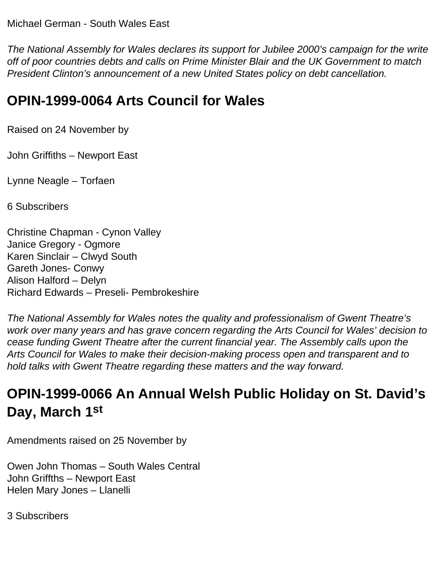*The National Assembly for Wales declares its support for Jubilee 2000's campaign for the write off of poor countries debts and calls on Prime Minister Blair and the UK Government to match President Clinton's announcement of a new United States policy on debt cancellation.* 

## **OPIN-1999-0064 Arts Council for Wales**

Raised on 24 November by

John Griffiths – Newport East

Lynne Neagle – Torfaen

6 Subscribers

Christine Chapman - Cynon Valley Janice Gregory - Ogmore Karen Sinclair – Clwyd South Gareth Jones- Conwy Alison Halford – Delyn Richard Edwards – Preseli- Pembrokeshire

*The National Assembly for Wales notes the quality and professionalism of Gwent Theatre's work over many years and has grave concern regarding the Arts Council for Wales' decision to cease funding Gwent Theatre after the current financial year. The Assembly calls upon the Arts Council for Wales to make their decision-making process open and transparent and to hold talks with Gwent Theatre regarding these matters and the way forward.* 

# **OPIN-1999-0066 An Annual Welsh Public Holiday on St. David's Day, March 1st**

Amendments raised on 25 November by

Owen John Thomas – South Wales Central John Griffths – Newport East Helen Mary Jones – Llanelli

3 Subscribers